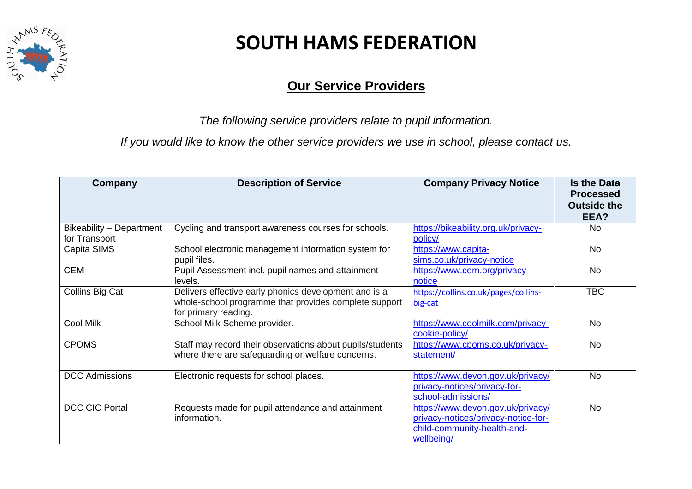

#### **Our Service Providers**

*The following service providers relate to pupil information.* 

*If you would like to know the other service providers we use in school, please contact us.*

| <b>Company</b>                            | <b>Description of Service</b>                                                                                                          | <b>Company Privacy Notice</b>                                                                                         | <b>Is the Data</b><br><b>Processed</b><br><b>Outside the</b><br>EEA? |
|-------------------------------------------|----------------------------------------------------------------------------------------------------------------------------------------|-----------------------------------------------------------------------------------------------------------------------|----------------------------------------------------------------------|
| Bikeability - Department<br>for Transport | Cycling and transport awareness courses for schools.                                                                                   | https://bikeability.org.uk/privacy-<br>policy/                                                                        | No                                                                   |
| Capita SIMS                               | School electronic management information system for<br>pupil files.                                                                    | https://www.capita-<br>sims.co.uk/privacy-notice                                                                      | <b>No</b>                                                            |
| <b>CEM</b>                                | Pupil Assessment incl. pupil names and attainment<br>levels.                                                                           | https://www.cem.org/privacy-<br>notice                                                                                | No                                                                   |
| Collins Big Cat                           | Delivers effective early phonics development and is a<br>whole-school programme that provides complete support<br>for primary reading. | https://collins.co.uk/pages/collins-<br>big-cat                                                                       | <b>TBC</b>                                                           |
| Cool Milk                                 | School Milk Scheme provider.                                                                                                           | https://www.coolmilk.com/privacy-<br>cookie-policy/                                                                   | <b>No</b>                                                            |
| <b>CPOMS</b>                              | Staff may record their observations about pupils/students<br>where there are safeguarding or welfare concerns.                         | https://www.cpoms.co.uk/privacy-<br>statement/                                                                        | <b>No</b>                                                            |
| <b>DCC Admissions</b>                     | Electronic requests for school places.                                                                                                 | https://www.devon.gov.uk/privacy/<br>privacy-notices/privacy-for-<br>school-admissions/                               | No                                                                   |
| <b>DCC CIC Portal</b>                     | Requests made for pupil attendance and attainment<br>information.                                                                      | https://www.devon.gov.uk/privacy/<br>privacy-notices/privacy-notice-for-<br>child-community-health-and-<br>wellbeing/ | No                                                                   |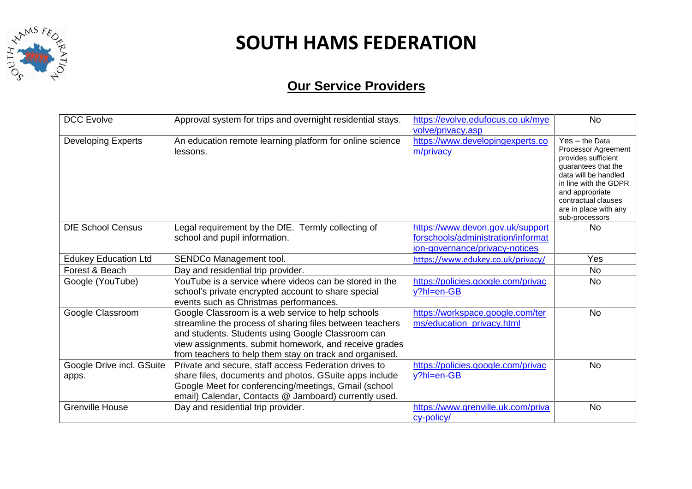

| <b>DCC Evolve</b>                  | Approval system for trips and overnight residential stays.                                                                                                                                                                                                                             | https://evolve.edufocus.co.uk/mye<br>volve/privacy.asp                                                   | <b>No</b>                                                                                                                                                                                                                   |
|------------------------------------|----------------------------------------------------------------------------------------------------------------------------------------------------------------------------------------------------------------------------------------------------------------------------------------|----------------------------------------------------------------------------------------------------------|-----------------------------------------------------------------------------------------------------------------------------------------------------------------------------------------------------------------------------|
| <b>Developing Experts</b>          | An education remote learning platform for online science<br>lessons.                                                                                                                                                                                                                   | https://www.developingexperts.co<br>m/privacy                                                            | $Yes - the Data$<br>Processor Agreement<br>provides sufficient<br>guarantees that the<br>data will be handled<br>in line with the GDPR<br>and appropriate<br>contractual clauses<br>are in place with any<br>sub-processors |
| <b>DfE School Census</b>           | Legal requirement by the DfE. Termly collecting of<br>school and pupil information.                                                                                                                                                                                                    | https://www.devon.gov.uk/support<br>forschools/administration/informat<br>ion-governance/privacy-notices | No.                                                                                                                                                                                                                         |
| <b>Edukey Education Ltd</b>        | SENDCo Management tool.                                                                                                                                                                                                                                                                | https://www.edukey.co.uk/privacy/                                                                        | <b>Yes</b>                                                                                                                                                                                                                  |
| Forest & Beach                     | Day and residential trip provider.                                                                                                                                                                                                                                                     |                                                                                                          | <b>No</b>                                                                                                                                                                                                                   |
| Google (YouTube)                   | YouTube is a service where videos can be stored in the<br>school's private encrypted account to share special<br>events such as Christmas performances.                                                                                                                                | https://policies.google.com/privac<br>$y?$ hl=en-GB                                                      | <b>No</b>                                                                                                                                                                                                                   |
| Google Classroom                   | Google Classroom is a web service to help schools<br>streamline the process of sharing files between teachers<br>and students. Students using Google Classroom can<br>view assignments, submit homework, and receive grades<br>from teachers to help them stay on track and organised. | https://workspace.google.com/ter<br>ms/education_privacy.html                                            | <b>No</b>                                                                                                                                                                                                                   |
| Google Drive incl. GSuite<br>apps. | Private and secure, staff access Federation drives to<br>share files, documents and photos. GSuite apps include<br>Google Meet for conferencing/meetings, Gmail (school<br>email) Calendar, Contacts @ Jamboard) currently used.                                                       | https://policies.google.com/privac<br>$y?$ hl=en-GB                                                      | <b>No</b>                                                                                                                                                                                                                   |
| <b>Grenville House</b>             | Day and residential trip provider.                                                                                                                                                                                                                                                     | https://www.grenville.uk.com/priva<br>cy-policy/                                                         | <b>No</b>                                                                                                                                                                                                                   |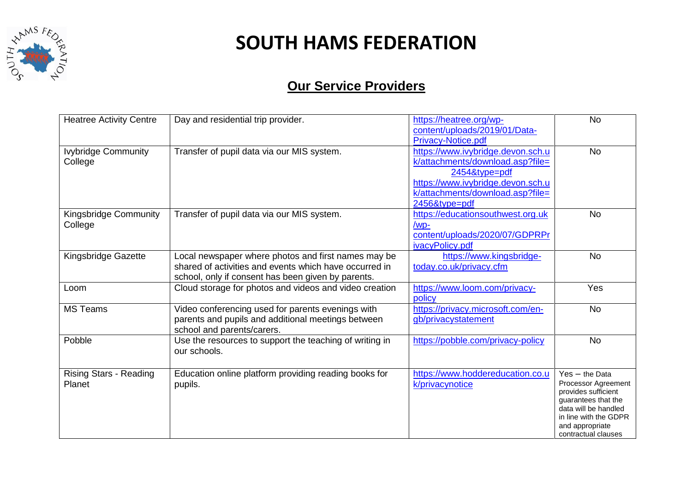

| <b>Heatree Activity Centre</b>          | Day and residential trip provider.                                                                                                                                  | https://heatree.org/wp-<br>content/uploads/2019/01/Data-<br><b>Privacy-Notice.pdf</b>                                                                                            | <b>No</b>                                                                                                                                                                        |
|-----------------------------------------|---------------------------------------------------------------------------------------------------------------------------------------------------------------------|----------------------------------------------------------------------------------------------------------------------------------------------------------------------------------|----------------------------------------------------------------------------------------------------------------------------------------------------------------------------------|
| <b>Ivybridge Community</b><br>College   | Transfer of pupil data via our MIS system.                                                                                                                          | https://www.ivybridge.devon.sch.u<br>k/attachments/download.asp?file=<br>2454&type=pdf<br>https://www.ivybridge.devon.sch.u<br>k/attachments/download.asp?file=<br>2456&type=pdf | <b>No</b>                                                                                                                                                                        |
| Kingsbridge Community<br>College        | Transfer of pupil data via our MIS system.                                                                                                                          | https://educationsouthwest.org.uk<br>/wp-<br>content/uploads/2020/07/GDPRPr<br>ivacyPolicy.pdf                                                                                   | <b>No</b>                                                                                                                                                                        |
| Kingsbridge Gazette                     | Local newspaper where photos and first names may be<br>shared of activities and events which have occurred in<br>school, only if consent has been given by parents. | https://www.kingsbridge-<br>today.co.uk/privacy.cfm                                                                                                                              | <b>No</b>                                                                                                                                                                        |
| Loom                                    | Cloud storage for photos and videos and video creation                                                                                                              | https://www.loom.com/privacy-<br>policy                                                                                                                                          | Yes                                                                                                                                                                              |
| <b>MS Teams</b>                         | Video conferencing used for parents evenings with<br>parents and pupils and additional meetings between<br>school and parents/carers.                               | https://privacy.microsoft.com/en-<br>gb/privacystatement                                                                                                                         | <b>No</b>                                                                                                                                                                        |
| Pobble                                  | Use the resources to support the teaching of writing in<br>our schools.                                                                                             | https://pobble.com/privacy-policy                                                                                                                                                | <b>No</b>                                                                                                                                                                        |
| <b>Rising Stars - Reading</b><br>Planet | Education online platform providing reading books for<br>pupils.                                                                                                    | https://www.hoddereducation.co.u<br>k/privacynotice                                                                                                                              | $Yes - the Data$<br>Processor Agreement<br>provides sufficient<br>guarantees that the<br>data will be handled<br>in line with the GDPR<br>and appropriate<br>contractual clauses |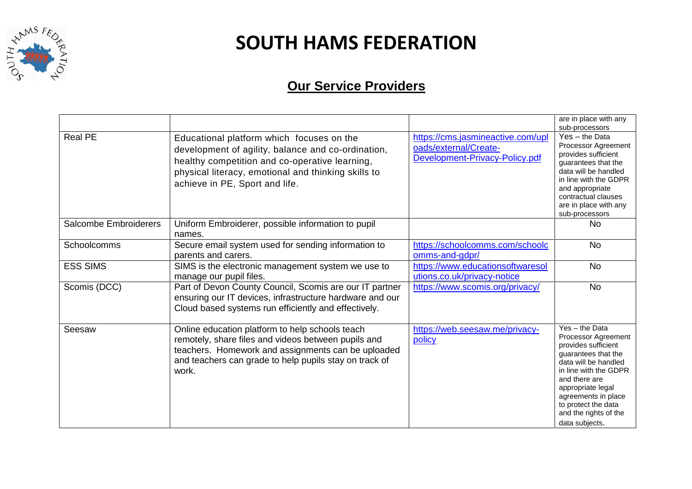

|                       |                                                                                                                                                                                                                                            |                                                                                              | are in place with any<br>sub-processors                                                                                                                                                                                                                             |
|-----------------------|--------------------------------------------------------------------------------------------------------------------------------------------------------------------------------------------------------------------------------------------|----------------------------------------------------------------------------------------------|---------------------------------------------------------------------------------------------------------------------------------------------------------------------------------------------------------------------------------------------------------------------|
| <b>Real PE</b>        | Educational platform which focuses on the<br>development of agility, balance and co-ordination,<br>healthy competition and co-operative learning,<br>physical literacy, emotional and thinking skills to<br>achieve in PE, Sport and life. | https://cms.jasmineactive.com/upl<br>oads/external/Create-<br>Development-Privacy-Policy.pdf | Yes - the Data<br>Processor Agreement<br>provides sufficient<br>guarantees that the<br>data will be handled<br>in line with the GDPR<br>and appropriate<br>contractual clauses<br>are in place with any<br>sub-processors                                           |
| Salcombe Embroiderers | Uniform Embroiderer, possible information to pupil<br>names.                                                                                                                                                                               |                                                                                              | No.                                                                                                                                                                                                                                                                 |
| Schoolcomms           | Secure email system used for sending information to<br>parents and carers.                                                                                                                                                                 | https://schoolcomms.com/schoolc<br>omms-and-gdpr/                                            | <b>No</b>                                                                                                                                                                                                                                                           |
| <b>ESS SIMS</b>       | SIMS is the electronic management system we use to<br>manage our pupil files.                                                                                                                                                              | https://www.educationsoftwaresol<br>utions.co.uk/privacy-notice                              | <b>No</b>                                                                                                                                                                                                                                                           |
| Scomis (DCC)          | Part of Devon County Council, Scomis are our IT partner<br>ensuring our IT devices, infrastructure hardware and our<br>Cloud based systems run efficiently and effectively.                                                                | https://www.scomis.org/privacy/                                                              | <b>No</b>                                                                                                                                                                                                                                                           |
| Seesaw                | Online education platform to help schools teach<br>remotely, share files and videos between pupils and<br>teachers. Homework and assignments can be uploaded<br>and teachers can grade to help pupils stay on track of<br>work.            | https://web.seesaw.me/privacy-<br>policy                                                     | Yes - the Data<br>Processor Agreement<br>provides sufficient<br>guarantees that the<br>data will be handled<br>in line with the GDPR<br>and there are<br>appropriate legal<br>agreements in place<br>to protect the data<br>and the rights of the<br>data subjects. |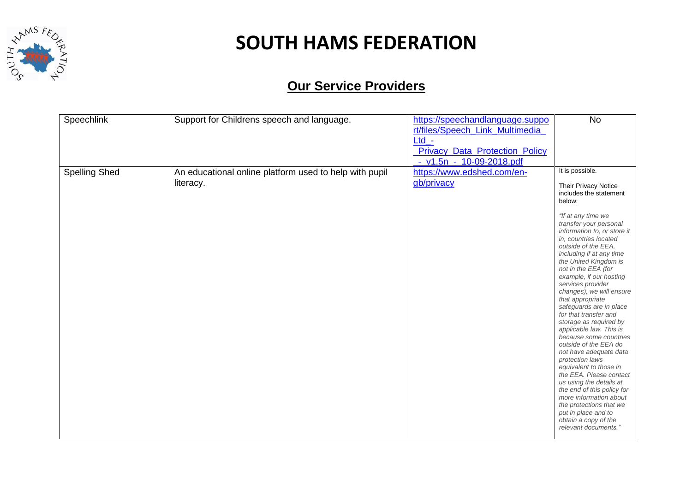

| Speechlink           | Support for Childrens speech and language.                          | https://speechandlanguage.suppo<br>rt/files/Speech_Link_Multimedia_  | <b>No</b>                                                                                                                                                                                                                                                                                                                                                                                                                                                                                                                                                                                                                                                                                                                                                                                                                                 |
|----------------------|---------------------------------------------------------------------|----------------------------------------------------------------------|-------------------------------------------------------------------------------------------------------------------------------------------------------------------------------------------------------------------------------------------------------------------------------------------------------------------------------------------------------------------------------------------------------------------------------------------------------------------------------------------------------------------------------------------------------------------------------------------------------------------------------------------------------------------------------------------------------------------------------------------------------------------------------------------------------------------------------------------|
|                      |                                                                     | $Ltd -$<br><b>Privacy Data Protection Policy</b>                     |                                                                                                                                                                                                                                                                                                                                                                                                                                                                                                                                                                                                                                                                                                                                                                                                                                           |
| <b>Spelling Shed</b> | An educational online platform used to help with pupil<br>literacy. | - v1.5n - 10-09-2018.pdf<br>https://www.edshed.com/en-<br>gb/privacy | It is possible.<br>Their Privacy Notice<br>includes the statement<br>below:<br>"If at any time we<br>transfer your personal<br>information to, or store it<br>in, countries located<br>outside of the EEA,<br>including if at any time<br>the United Kingdom is<br>not in the EEA (for<br>example, if our hosting<br>services provider<br>changes), we will ensure<br>that appropriate<br>safeguards are in place<br>for that transfer and<br>storage as required by<br>applicable law. This is<br>because some countries<br>outside of the EEA do<br>not have adequate data<br>protection laws<br>equivalent to those in<br>the EEA. Please contact<br>us using the details at<br>the end of this policy for<br>more information about<br>the protections that we<br>put in place and to<br>obtain a copy of the<br>relevant documents." |
|                      |                                                                     |                                                                      |                                                                                                                                                                                                                                                                                                                                                                                                                                                                                                                                                                                                                                                                                                                                                                                                                                           |